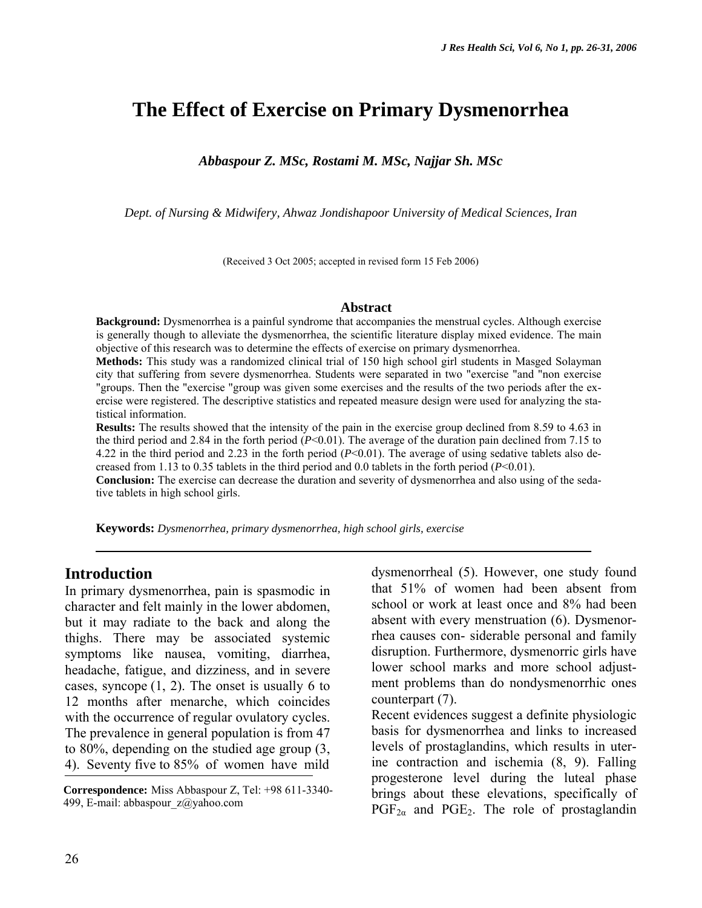# **The Effect of Exercise on Primary Dysmenorrhea**

*Abbaspour Z. MSc, Rostami M. MSc, Najjar Sh. MSc* 

*Dept. of Nursing & Midwifery, Ahwaz Jondishapoor University of Medical Sciences, Iran* 

(Received 3 Oct 2005; accepted in revised form 15 Feb 2006)

#### **Abstract**

**Background:** Dysmenorrhea is a painful syndrome that accompanies the menstrual cycles. Although exercise is generally though to alleviate the dysmenorrhea, the scientific literature display mixed evidence. The main objective of this research was to determine the effects of exercise on primary dysmenorrhea.

**Methods:** This study was a randomized clinical trial of 150 high school girl students in Masged Solayman city that suffering from severe dysmenorrhea. Students were separated in two "exercise "and "non exercise "groups. Then the "exercise "group was given some exercises and the results of the two periods after the exercise were registered. The descriptive statistics and repeated measure design were used for analyzing the statistical information.

**Results:** The results showed that the intensity of the pain in the exercise group declined from 8.59 to 4.63 in the third period and 2.84 in the forth period  $(P<0.01)$ . The average of the duration pain declined from 7.15 to 4.22 in the third period and 2.23 in the forth period  $(P< 0.01)$ . The average of using sedative tablets also decreased from 1.13 to 0.35 tablets in the third period and 0.0 tablets in the forth period (*P*<0.01).

**Conclusion:** The exercise can decrease the duration and severity of dysmenorrhea and also using of the sedative tablets in high school girls.

**Keywords:** *Dysmenorrhea, primary dysmenorrhea, high school girls, exercise* 

#### **Introduction**

In primary dysmenorrhea, pain is spasmodic in character and felt mainly in the lower abdomen, but it may radiate to the back and along the thighs. There may be associated systemic symptoms like nausea, vomiting, diarrhea, headache, fatigue, and dizziness, and in severe cases, syncope  $(1, 2)$ . The onset is usually 6 to 12 months after menarche, which coincides with the occurrence of regular ovulatory cycles. The prevalence in general population is from 47 to 80%, depending on the studied age group (3, 4). Seventy five to 85% of women have mild

dysmenorrheal (5). However, one study found that 51% of women had been absent from school or work at least once and 8% had been absent with every menstruation (6). Dysmenorrhea causes con- siderable personal and family disruption. Furthermore, dysmenorric girls have lower school marks and more school adjustment problems than do nondysmenorrhic ones counterpart (7).

Recent evidences suggest a definite physiologic basis for dysmenorrhea and links to increased levels of prostaglandins, which results in uterine contraction and ischemia (8, 9). Falling progesterone level during the luteal phase brings about these elevations, specifically of  $PGF_{2\alpha}$  and  $PGE_2$ . The role of prostaglandin

**Correspondence:** Miss Abbaspour Z, Tel: +98 611-3340- 499, E-mail: abbaspour\_z@yahoo.com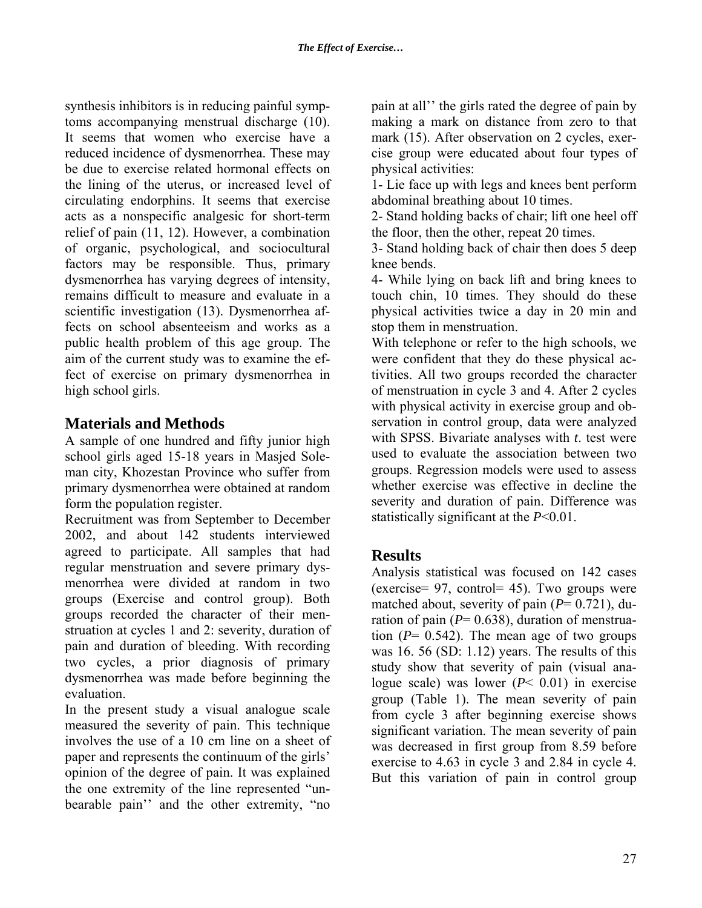synthesis inhibitors is in reducing painful symptoms accompanying menstrual discharge (10). It seems that women who exercise have a reduced incidence of dysmenorrhea. These may be due to exercise related hormonal effects on the lining of the uterus, or increased level of circulating endorphins. It seems that exercise acts as a nonspecific analgesic for short-term relief of pain (11, 12). However, a combination of organic, psychological, and sociocultural factors may be responsible. Thus, primary dysmenorrhea has varying degrees of intensity, remains difficult to measure and evaluate in a scientific investigation (13). Dysmenorrhea affects on school absenteeism and works as a public health problem of this age group. The aim of the current study was to examine the effect of exercise on primary dysmenorrhea in high school girls.

# **Materials and Methods**

A sample of one hundred and fifty junior high school girls aged 15-18 years in Masjed Soleman city, Khozestan Province who suffer from primary dysmenorrhea were obtained at random form the population register.

Recruitment was from September to December 2002, and about 142 students interviewed agreed to participate. All samples that had regular menstruation and severe primary dysmenorrhea were divided at random in two groups (Exercise and control group). Both groups recorded the character of their menstruation at cycles 1 and 2: severity, duration of pain and duration of bleeding. With recording two cycles, a prior diagnosis of primary dysmenorrhea was made before beginning the evaluation.

In the present study a visual analogue scale measured the severity of pain. This technique involves the use of a 10 cm line on a sheet of paper and represents the continuum of the girls' opinion of the degree of pain. It was explained the one extremity of the line represented "unbearable pain'' and the other extremity, "no

pain at all'' the girls rated the degree of pain by making a mark on distance from zero to that mark (15). After observation on 2 cycles, exercise group were educated about four types of physical activities:

1- Lie face up with legs and knees bent perform abdominal breathing about 10 times.

2- Stand holding backs of chair; lift one heel off the floor, then the other, repeat 20 times.

3- Stand holding back of chair then does 5 deep knee bends.

4- While lying on back lift and bring knees to touch chin, 10 times. They should do these physical activities twice a day in 20 min and stop them in menstruation.

With telephone or refer to the high schools, we were confident that they do these physical activities. All two groups recorded the character of menstruation in cycle 3 and 4. After 2 cycles with physical activity in exercise group and observation in control group, data were analyzed with SPSS. Bivariate analyses with *t*. test were used to evaluate the association between two groups. Regression models were used to assess whether exercise was effective in decline the severity and duration of pain. Difference was statistically significant at the *P*<0.01.

## **Results**

Analysis statistical was focused on 142 cases (exercise= 97, control= 45). Two groups were matched about, severity of pain  $(P= 0.721)$ , duration of pain  $(P= 0.638)$ , duration of menstruation  $(P= 0.542)$ . The mean age of two groups was 16. 56 (SD: 1.12) years. The results of this study show that severity of pain (visual analogue scale) was lower (*P*< 0.01) in exercise group (Table 1). The mean severity of pain from cycle 3 after beginning exercise shows significant variation. The mean severity of pain was decreased in first group from 8.59 before exercise to 4.63 in cycle 3 and 2.84 in cycle 4. But this variation of pain in control group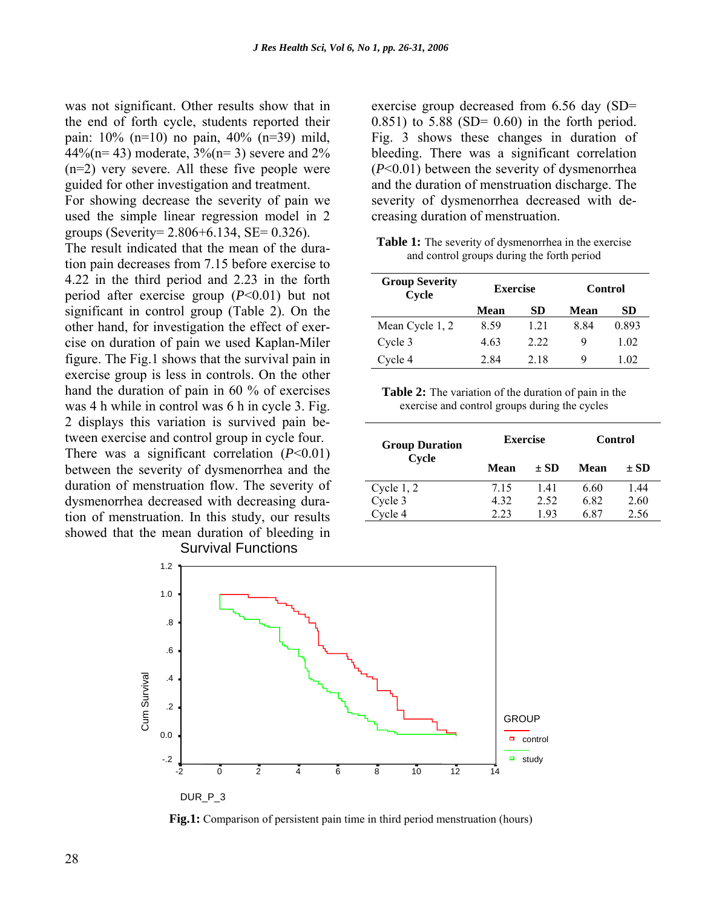was not significant. Other results show that in the end of forth cycle, students reported their pain: 10% (n=10) no pain, 40% (n=39) mild,  $44\%$ (n= 43) moderate,  $3\%$ (n= 3) severe and  $2\%$ (n=2) very severe. All these five people were guided for other investigation and treatment.

For showing decrease the severity of pain we used the simple linear regression model in 2 groups (Severity= 2.806+6.134, SE= 0.326).

The result indicated that the mean of the duration pain decreases from 7.15 before exercise to 4.22 in the third period and 2.23 in the forth period after exercise group (*P*<0.01) but not significant in control group (Table 2). On the other hand, for investigation the effect of exercise on duration of pain we used Kaplan-Miler figure. The Fig.1 shows that the survival pain in exercise group is less in controls. On the other hand the duration of pain in 60 % of exercises was 4 h while in control was 6 h in cycle 3. Fig. 2 displays this variation is survived pain between exercise and control group in cycle four.

There was a significant correlation (*P*<0.01) between the severity of dysmenorrhea and the duration of menstruation flow. The severity of dysmenorrhea decreased with decreasing duration of menstruation. In this study, our results showed that the mean duration of bleeding in

exercise group decreased from 6.56 day (SD= 0.851) to 5.88 (SD=  $0.60$ ) in the forth period. Fig. 3 shows these changes in duration of bleeding. There was a significant correlation (*P*<0.01) between the severity of dysmenorrhea and the duration of menstruation discharge. The severity of dysmenorrhea decreased with decreasing duration of menstruation.

**Table 1:** The severity of dysmenorrhea in the exercise and control groups during the forth period

| <b>Group Severity</b><br>Cycle | <b>Exercise</b> |      | Control |       |
|--------------------------------|-----------------|------|---------|-------|
|                                | Mean            | SD   | Mean    | SD    |
| Mean Cycle 1, 2                | 8.59            | 1.21 | 884     | 0.893 |
| Cycle 3                        | 4.63            | 2.22 | 9       | 1.02  |
| Cycle 4                        | 2.84            | 2.18 | 9       | 1 02  |

**Table 2:** The variation of the duration of pain in the exercise and control groups during the cycles

| <b>Group Duration</b><br>Cycle | <b>Exercise</b> |      | <b>Control</b> |          |
|--------------------------------|-----------------|------|----------------|----------|
|                                | Mean            | + SD | Mean           | $\pm$ SD |
| Cycle $1, 2$                   | 7.15            | 141  | 6.60           | 1.44     |
| Cycle 3                        | 4.32            | 2.52 | 6.82           | 2.60     |
| vcle 4                         | 2.23            | 193  | 6.87           | 2.56     |



**Fig.1:** Comparison of persistent pain time in third period menstruation (hours)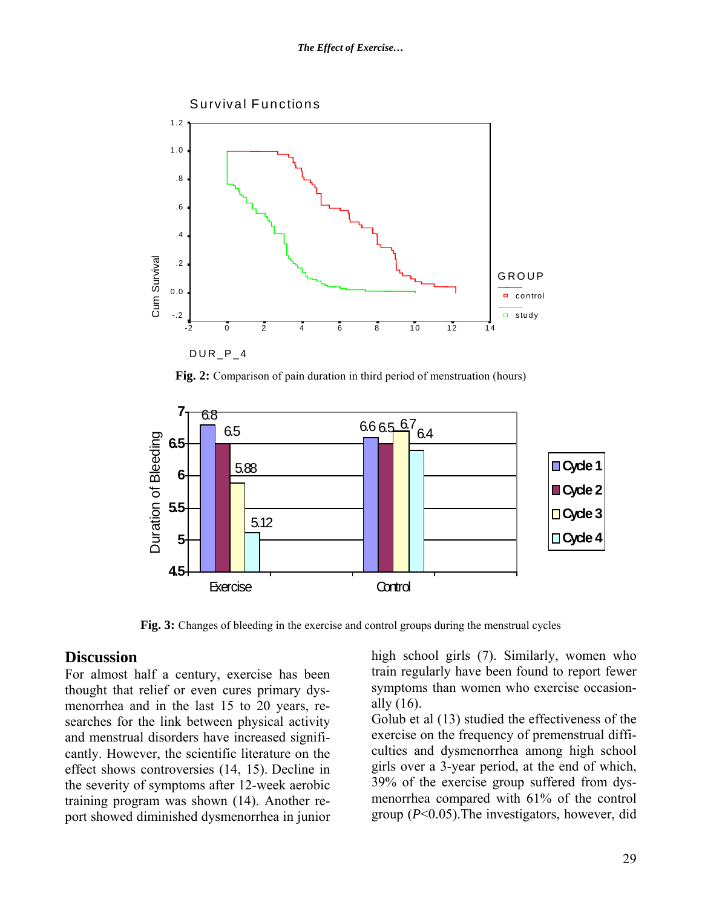#### *The Effect of Exercise…*



**Fig. 2:** Comparison of pain duration in third period of menstruation (hours)



**Fig. 3:** Changes of bleeding in the exercise and control groups during the menstrual cycles

#### **Discussion**

For almost half a century, exercise has been thought that relief or even cures primary dysmenorrhea and in the last 15 to 20 years, researches for the link between physical activity and menstrual disorders have increased significantly. However, the scientific literature on the effect shows controversies (14, 15). Decline in the severity of symptoms after 12-week aerobic training program was shown (14). Another report showed diminished dysmenorrhea in junior

high school girls (7). Similarly, women who train regularly have been found to report fewer symptoms than women who exercise occasionally (16).

Golub et al (13) studied the effectiveness of the exercise on the frequency of premenstrual difficulties and dysmenorrhea among high school girls over a 3-year period, at the end of which, 39% of the exercise group suffered from dysmenorrhea compared with 61% of the control group (*P*<0.05).The investigators, however, did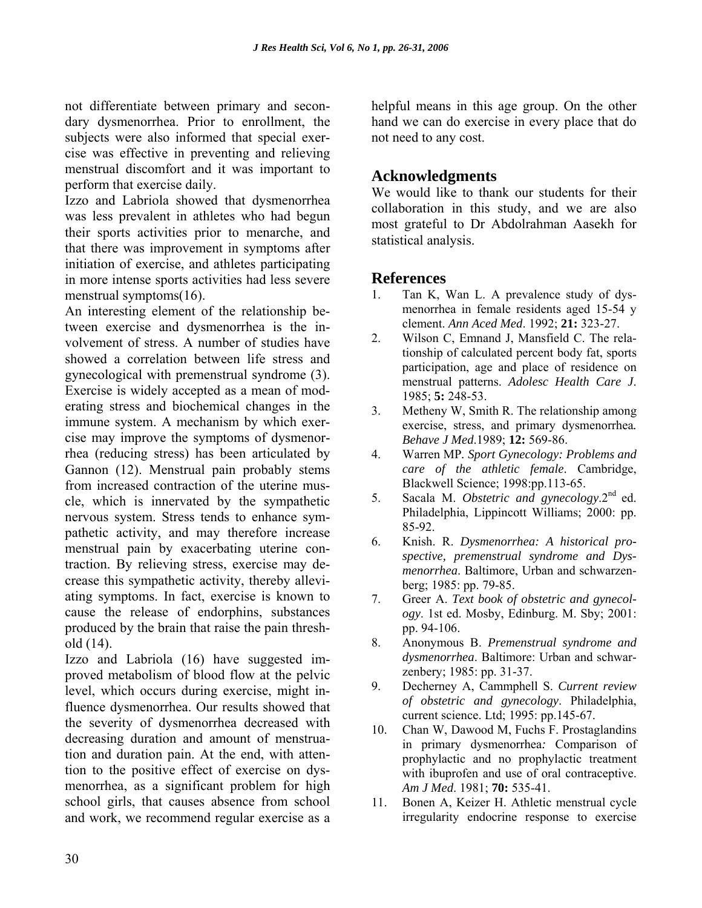not differentiate between primary and secondary dysmenorrhea. Prior to enrollment, the subjects were also informed that special exercise was effective in preventing and relieving menstrual discomfort and it was important to perform that exercise daily.

Izzo and Labriola showed that dysmenorrhea was less prevalent in athletes who had begun their sports activities prior to menarche, and that there was improvement in symptoms after initiation of exercise, and athletes participating in more intense sports activities had less severe menstrual symptoms(16).

An interesting element of the relationship between exercise and dysmenorrhea is the involvement of stress. A number of studies have showed a correlation between life stress and gynecological with premenstrual syndrome (3). Exercise is widely accepted as a mean of moderating stress and biochemical changes in the immune system. A mechanism by which exercise may improve the symptoms of dysmenorrhea (reducing stress) has been articulated by Gannon (12). Menstrual pain probably stems from increased contraction of the uterine muscle, which is innervated by the sympathetic nervous system. Stress tends to enhance sympathetic activity, and may therefore increase menstrual pain by exacerbating uterine contraction. By relieving stress, exercise may decrease this sympathetic activity, thereby alleviating symptoms. In fact, exercise is known to cause the release of endorphins, substances produced by the brain that raise the pain threshold (14).

Izzo and Labriola (16) have suggested improved metabolism of blood flow at the pelvic level, which occurs during exercise, might influence dysmenorrhea. Our results showed that the severity of dysmenorrhea decreased with decreasing duration and amount of menstruation and duration pain. At the end, with attention to the positive effect of exercise on dysmenorrhea, as a significant problem for high school girls, that causes absence from school and work, we recommend regular exercise as a

helpful means in this age group. On the other hand we can do exercise in every place that do not need to any cost.

### **Acknowledgments**

We would like to thank our students for their collaboration in this study, and we are also most grateful to Dr Abdolrahman Aasekh for statistical analysis.

### **References**

- 1. Tan K, Wan L. A prevalence study of dysmenorrhea in female residents aged 15-54 y clement. *Ann Aced Med*. 1992; **21:** 323-27.
- 2. Wilson C, Emnand J, Mansfield C. The relationship of calculated percent body fat, sports participation, age and place of residence on menstrual patterns. *Adolesc Health Care J*. 1985; **5:** 248-53.
- 3. Metheny W, Smith R. The relationship among exercise, stress, and primary dysmenorrhea*. Behave J Med*.1989; **12:** 569-86.
- 4. Warren MP*. Sport Gynecology: Problems and care of the athletic female*. Cambridge, Blackwell Science; 1998:pp.113-65.
- 5. Sacala M. *Obstetric and gynecology*.2nd ed. Philadelphia, Lippincott Williams; 2000: pp. 85-92.
- 6. Knish. R. *Dysmenorrhea: A historical prospective, premenstrual syndrome and Dysmenorrhea*. Baltimore, Urban and schwarzenberg; 1985: pp. 79-85.
- 7. Greer A. *Text book of obstetric and gynecology*. 1st ed. Mosby, Edinburg. M. Sby; 2001: pp. 94-106.
- 8. Anonymous B. *Premenstrual syndrome and dysmenorrhea*. Baltimore: Urban and schwarzenbery; 1985: pp. 31-37.
- 9. Decherney A, Cammphell S. *Current review of obstetric and gynecology*. Philadelphia, current science. Ltd; 1995: pp.145-67.
- 10. Chan W, Dawood M, Fuchs F. Prostaglandins in primary dysmenorrhea*:* Comparison of prophylactic and no prophylactic treatment with ibuprofen and use of oral contraceptive. *Am J Med*. 1981; **70:** 535-41.
- 11. Bonen A, Keizer H. Athletic menstrual cycle irregularity endocrine response to exercise